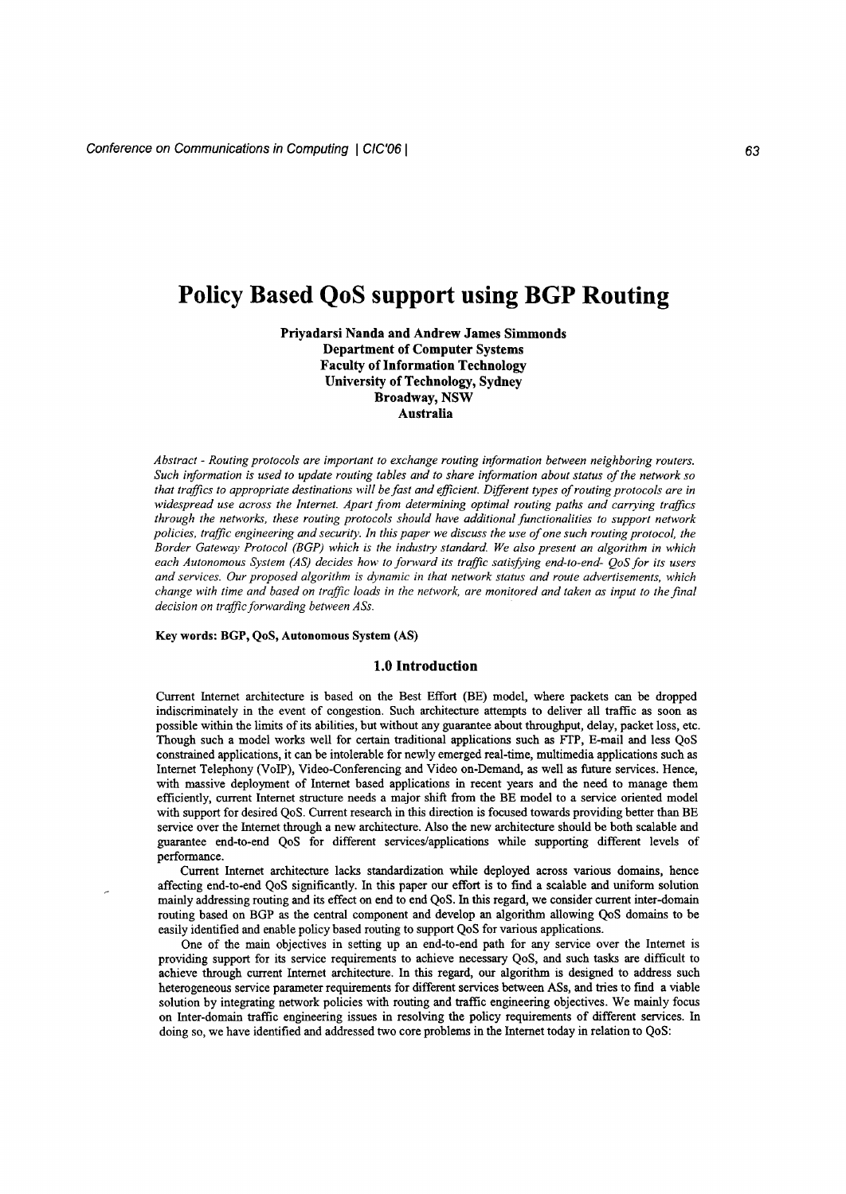# **Policy Based QoS support using BGP Routing**

Priyadarsi Nanda and Andrew James Simmonds Department of Computer Systems Faculty of Information Technology University of Technology, Sydney Broadway, NSW Australia

*Abstract - Routing protocols are important to exchange routing information between neighboring routers. Such information* is *used to update routing tables and to share information about status of the network so* that traffics to appropriate destinations will be fast and efficient. Different types of routing protocols are in *widespread use across the Internet. Apart from determining optimal routing paths and carrying traffics through the networks, these routing protocols should have additional functionalities to support network* policies, traffic engineering and security. In this paper we discuss the use of one such routing protocol, the *Border Gateway Protocol (BGP) which* is *the industry standard. We also present an algorithm in which each Autonomous System (AS) decides how to forward its traffic satisfying end-to-end- QoS for its users and services. Our proposed algorithm* is *dynamic in that network status and route advertisements, which* change with time and based on traffic loads in the network, are monitored and taken as input to the final *decision on traffic forwarding between ASs.*

#### Key words: BGP, QoS, Autonomous System (AS)

#### 1.0 Introduction

Current Internet architecture is based on the Best Effort (BE) model, where packets can be dropped indiscriminately in the event of congestion. Such architecture attempts to deliver all traffic as soon as possible within the limits of its abilities, but without any guarantee about throughput, delay, packet loss, etc. Though such a model works well for certain traditional applications such as *FTP,* E-mail and less QoS constrained applications, it can be intolerable for newly emerged real-time, multimedia applications such as Internet Telephony (VoIP), Video-Conferencing and Video on-Demand, as well as future services. Hence, with massive deployment of Internet based applications in recent years and the need to manage them efficiently, current Internet structure needs a major shift from the BE model to a service oriented model with support for desired QoS. Current research in this direction is focused towards providing better than BE service over the Internet through a new architecture. Also the new architecture should be both scalable and guarantee end-to-end QoS for different services/applications while supporting different levels of performance.

Current Internet architecture lacks standardization while deployed across various domains, hence affecting end-to-end QoS significantly. In this paper our effort is to find a scalable and uniform solution mainly addressing routing and its effect on end to end QoS. In this regard, we consider current inter-domain routing based on BGP as the central component and develop an algorithm allowing QoS domains to be easily identified and enable policy based routing to support QoS for various applications.

One of the main objectives in setting up an end-to-end path for any service over the Internet is providing support for its service requirements to achieve necessary QoS, and such tasks are difficult to achieve through current Internet architecture. In this regard, our algorithm is designed to address such heterogeneous service parameter requirements for different services between ASs, and tries to find a viable solution by integrating network policies with routing and traffic engineering objectives. We mainly focus on Inter-domain traffic engineering issues in resolving the policy requirements of different services. In doing so, we have identified and addressed two core problems in the Internet today in relation to QoS: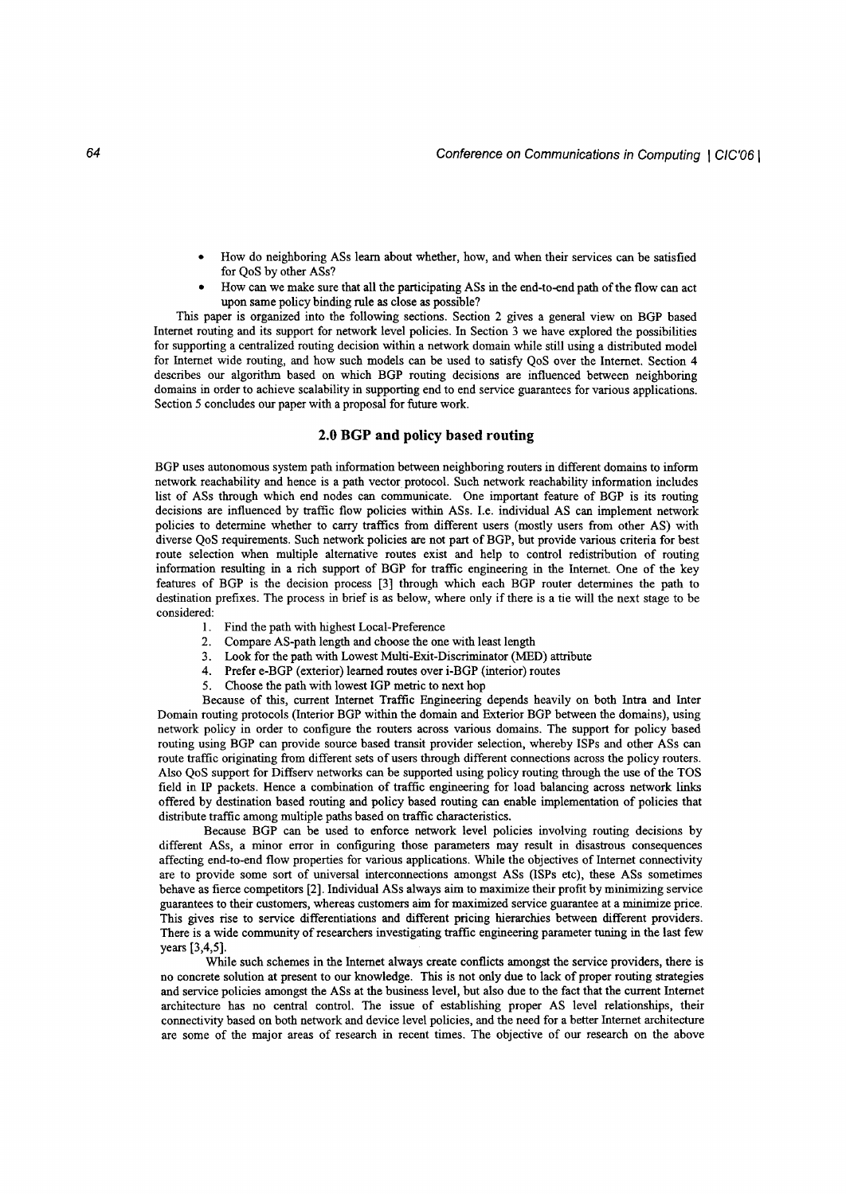- How do neighboring ASs learn about whether, how, and when their services can be satisfied for QoS by other ASs?
- How can we make sure that all the participating ASs in the end-to-end path of the flow can act upon same policy binding rule as close as possible?

This paper is organized into the following sections. Section 2 gives a general view on BGP based Internet routing and its support for network level policies. In Section 3 we have explored the possibilities for supporting a centralized routing decision within a network domain while still using a distributed model for Internet wide routing, and how such models can be used to satisfy QoS over the Internet. Section 4 describes our algorithm based on which BGP routing decisions are influenced between neighboring domains in order to achieve scalability in supporting end to end service guarantees for various applications. Section 5 concludes our paper with a proposal for future work.

# **2.0 BGP and policy based routing**

BGP uses autonomous system path information between neighboring routers in different domains to inform network reachability and hence is a path vector protocol. Such network reachability information includes list of ASs through which end nodes can communicate. One important feature of BGP is its routing decisions are influenced by traffic flow policies within ASs. I.e. individual AS can implement network policies to determine whether to carry traffics from different users (mostly users from other AS) with diverse QoS requirements. Such network policies are not part of BGP, but provide various criteria for best route selection when multiple alternative routes exist and help to control redistribution of routing information resulting in a rich support of BGP for traffic engineering in the Internet. One of the key features of BGP is the decision process [3] through which each BGP router determines the path to destination prefixes. The process in brief is as below, where only if there is a tie will the next stage to be considered:

- 1. Find the path with highest Local-Preference
- 2. Compare AS-path length and choose the one with least length
- 3. Look for the path with Lowest Multi-Exit-Discriminator (MED) attribute
- 4. Prefer e-BGP (exterior) learned routes over i-BGP (interior) routes
- 5. Choose the path with lowest IGP metric to next hop

Because of this, current Internet Traffic Engineering depends heavily on both Intra and Inter Domain routing protocols (Interior BGP within the domain and Exterior BGP between the domains), using network policy in order to configure the routers across various domains. The support for policy based routing using BGP can provide source based transit provider selection, whereby ISPs and other ASs can route traffic originating from different sets of users through different connections across the policy routers. Also QoS support for Diffserv networks can be supported using policy routing through the use of the TOS field in IP packets. Hence a combination of traffic engineering for load balancing across network links offered by destination based routing and policy based routing can enable implementation of policies that distribute traffic among multiple paths based on traffic characteristics.

Because BGP can be used to enforce network level policies involving routing decisions by different ASs, a minor error in configuring those parameters may result in disastrous consequences affecting end-to-end flow properties for various applications. While the objectives of Internet connectivity are to provide some sort of universal interconnections amongst ASs (lSPs etc), these ASs sometimes behave as fierce competitors [2]. Individual ASs always aim to maximize their profit by minimizing service guarantees to their customers, whereas customers aim for maximized service guarantee at a minimize price. This gives rise to service differentiations and different pricing hierarchies between different providers. There is a wide community of researchers investigating traffic engineering parameter tuning in the last few years [3,4,5].

While such schemes in the Internet always create conflicts amongst the service providers, there is no concrete solution at present to our knowledge. This is not only due to lack of proper routing strategies and service policies amongst the ASs at the business level, but also due to the fact that the current Internet architecture has no central control. The issue of establishing proper AS level relationships, their connectivity based on both network and device level policies, and the need for a better Internet architecture are some of the major areas of research in recent times. The objective of our research on the above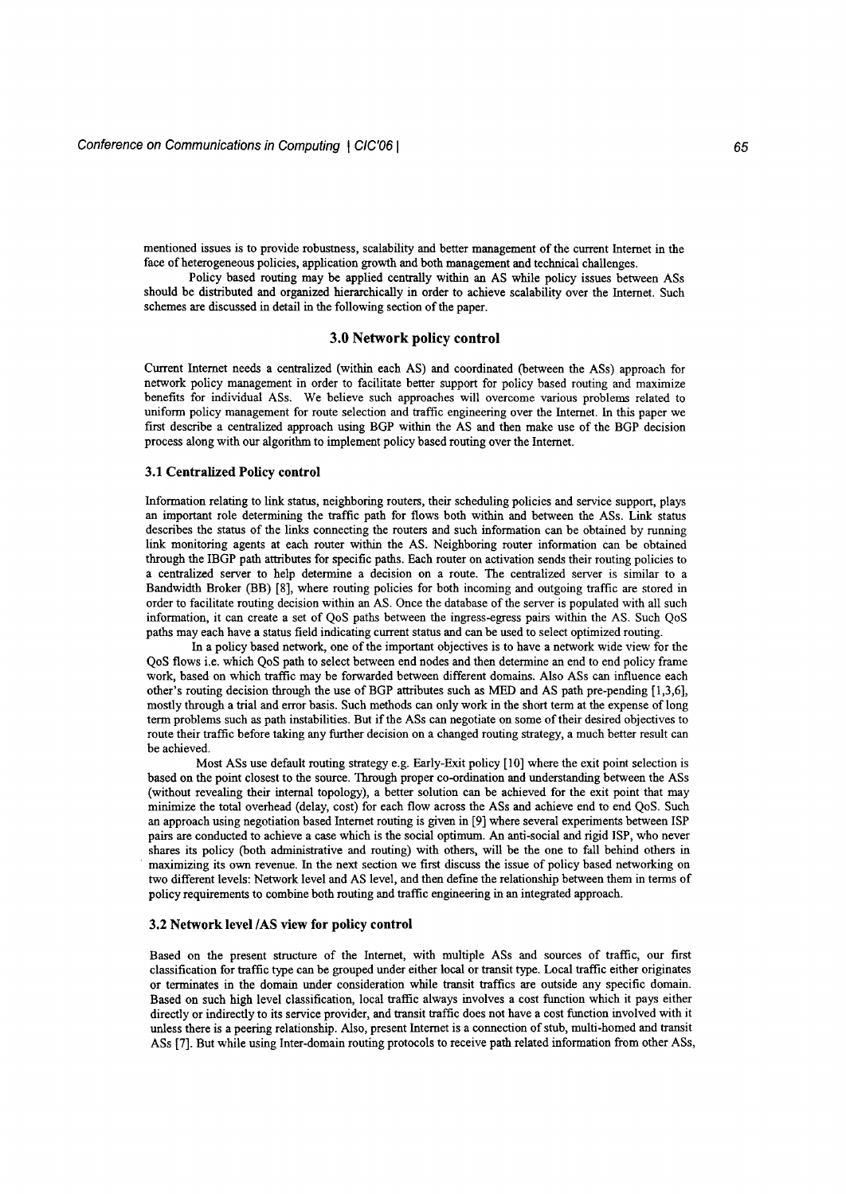mentioned issues is to provide robustness, scalability and better management of the current Internet in the face of heterogeneous policies, application growth and both management and technical challenges.

Policy based routing may be applied centrally within an AS while policy issues between ASs should be distributed and organized hierarchically in order to achieve scalability over the Internet. Such schemes are discussed in detail in the following section of the paper.

## **3.0 Network policy control**

Current Internet needs a centralized (within each AS) and coordinated (between the ASs) approach for network policy management in order to facilitate better support for policy based routing and maximize benefits for individual ASs. We believe such approaches will overcome various problems related to uniform policy management for route selection and traffic engineering over the Internet. In this paper we first describe a centralized approach using BGP within the AS and then make use of the BGP decision process along with our algorithm to implement policy based routing over the Internet.

# **3.1 Centralized Policy control**

Information relating to link status, neighboring routers, their scheduling policies and service support, plays an important role determining the traffic path for flows both within and between the ASs. Link status describes the status of the links connecting the routers and such information can be obtained by running link monitoring agents at each router within the AS. Neighboring router information can be obtained through the IBGP path attributes for specific paths. Each router on activation sends their routing policies to a centralized server to help determine a decision on a route. The centralized server is similar to a Bandwidth Broker (BB) [8], where routing policies for both incoming and outgoing traffic are stored in order to facilitate routing decision within an AS. Once the database of the server is populated with all such information, it can create a set of QoS paths between the ingress-egress pairs within the AS. Such QoS paths may each have a status field indicating current status and can be used to select optimized routing.

In a policy based network, one of the important objectives is to have a network wide view for the QoS flows i.e. which QoS path to select between end nodes and then determine an end to end policy frame work, based on which traffic may be forwarded between different domains. Also ASs can influence each other's routing decision through the use of BGP attributes such as MED and AS path pre-pending [1,3,6], mostly through a trial and error basis. Such methods can only work in the short term at the expense of long term problems such as path instabilities. But if the ASs can negotiate on some of their desired objectives to route their traffic before taking any further decision on a changed routing strategy, a much better result can be achieved.

Most ASs use default routing strategy e.g. Early-Exit policy [10] where the exit point selection is based on the point closest to the source. Through proper co-ordination and understanding between the ASs (without revealing their internal topology), a better solution can be achieved for the exit point that may minimize the total overhead (delay, cost) for each flow across the ASs and achieve end to end QoS. Such an approach using negotiation based Internet routing is given in [9] where several experiments between ISP pairs are conducted to achieve a case which is the social optimum. An anti-social and rigid ISP, who never shares its policy (both administrative and routing) with others, will be the one to fall behind others in maximizing its own revenue. In the next section we first discuss the issue of policy based networking on two different levels: Network level and AS level, and then defme the relationship between them in terms of policy requirements to combine both routing and traffic engineering in an integrated approach.

#### **3.2 Network level/AS view for policy control**

Based on the present structure of the Internet, with multiple ASs and sources of traffic, our first classification for traffic type can be grouped under either local or transit type. Local traffic either originates or terminates in the domain under consideration while transit traffics are outside any specific domain. Based on such high level classification, local traffic always involves a cost function which it pays either directly or indirectly to its service provider, and transit traffic does not have a cost function involved with it unless there is a peering relationship. Also, present Internet is a connection of stub, multi-homed and transit ASs [7]. But while using Inter-domain routing protocols to receive path related information from other ASs,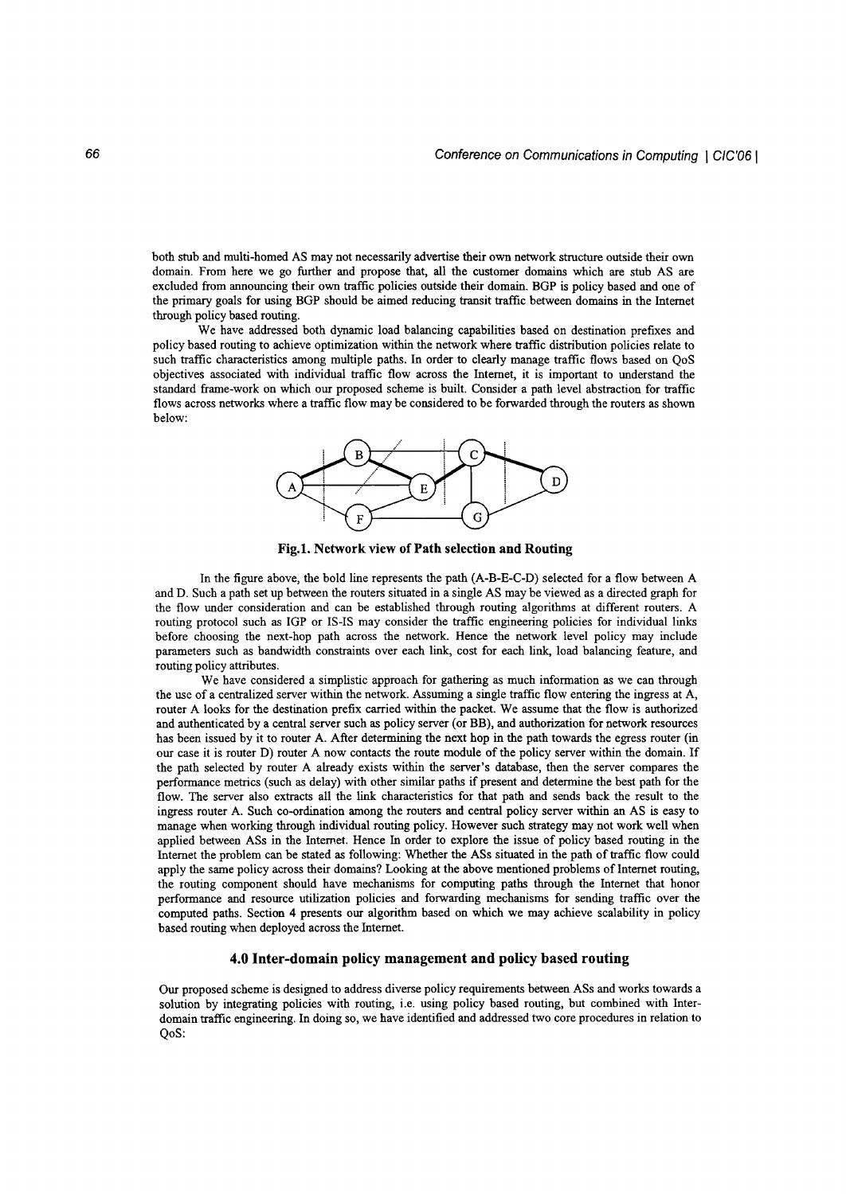both stub and multi-homed AS may not necessarily advertise their own network structure outside their own domain. From here we go further and propose that, all the customer domains which are stub AS are excluded from announcing their own traffic policies outside their domain. BGP is policy based and one of the primary goals for using BGP should be aimed reducing transit traffic between domains in the Internet through policy based routing.

We have addressed both dynamic load balancing capabilities based on destination prefixes and policy based routing to achieve optimization within the network where traffic distribution policies relate to such traffic characteristics among multiple paths. In order to clearly manage traffic flows based on QoS objectives associated with individual traffic flow across the Internet, it is important to understand the standard frame-work on which our proposed scheme is built. Consider a path level abstraction for traffic flows across networks where a traffic flow may be considered to be forwarded through the routers as shown below:



Fig.I. Network view of Path selection and Routing

In the figure above, the bold line represents the path (A-B-E-C-D) selected for a flow between A and D. Such a path set up between the routers situated in a single AS may be viewed as a directed graph for the flow under consideration and can be established through routing algorithms at different routers. A routing protocol such as IGP or IS-IS may consider the traffic engineering policies for individual links before choosing the next-hop path across the network. Hence the network level policy may include parameters such as bandwidth constraints over each link, cost for each link, load balancing feature, and routing policy attributes.

We have considered a simplistic approach for gathering as much information as we can through the use of a centralized server within the network. Assuming a single traffic flow entering the ingress at A, router A looks for the destination prefix carried within the packet. We assume that the flow is authorized and authenticated by a central server such as policy server (or BB), and authorization for network resources has been issued by it to router A. After determining the next hop in the path towards the egress router (in our case it is router D) router A now contacts the route module of the policy server within the domain. If the path selected by router A already exists within the server's database, then the server compares the performance metrics (such as delay) with other similar paths if present and determine the best path for the flow. The server also extracts all the link characteristics for that path and sends back the result to the ingress router A. Such co-ordination among the routers and central policy server within an AS is easy to manage when working through individual routing policy. However such strategy may not work well when applied between ASs in the Internet. Hence In order to explore the issue of policy based routing in the Internet the problem can be stated as following: Whether the ASs situated in the path of traffic flow could apply the same policy across their domains? Looking at the above mentioned problems of Internet routing, the routing component should have mechanisms for computing paths through the Internet that honor performance and resource utilization policies and forwarding mechanisms for sending traffic over the computed paths. Section 4 presents our algorithm based on which we may achieve scalability in policy based routing when deployed across the Internet.

## 4.0 Inter-domain policy management and policy based routing

Our proposed scheme is designed to address diverse policy requirements between ASs and works towards a solution by integrating policies with routing, i.e. using policy based routing, but combined with Interdomain traffic engineering. In doing so, we have identified and addressed two core procedures in relation to OoS: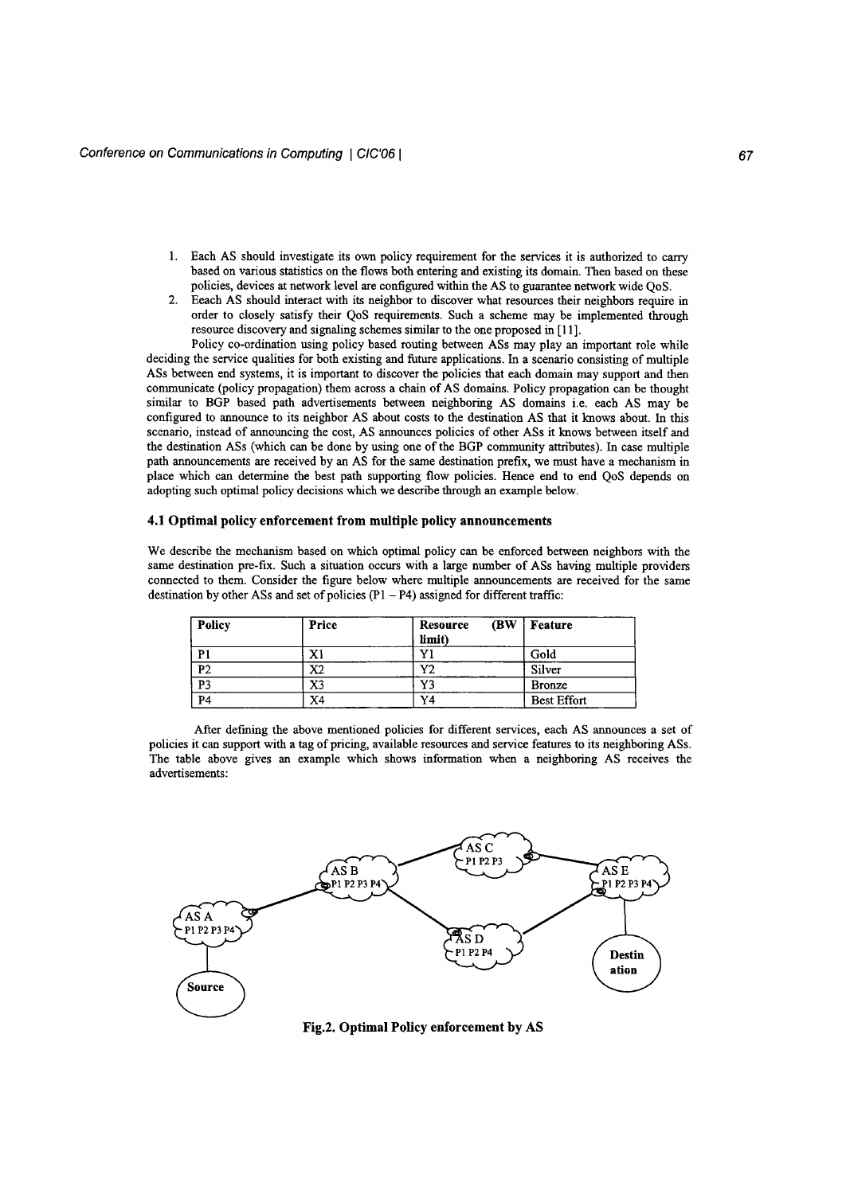- 1. Each AS should investigate its own policy requirement for the services it is authorized to carry based on various statistics on the flows both entering and existing its domain. Then based on these policies, devices at network level are configured within the AS to guarantee network wide QoS.
- 2. Eeach AS should interact with its neighbor to discover what resources their neighbors require in order to closely satisfy their QoS requirements. Such a scheme may be implemented through resource discovery and signaling schemes similar to the one proposed in [11].

Policy co-ordination using policy based routing between ASs may play an important role while deciding the service qualities for both existing and future applications. In a scenario consisting of multiple ASs between end systems, it is important to discover the policies that each domain may support and then communicate (policy propagation) them across a chain of AS domains. Policy propagation can be thought similar to BGP based path advertisements between neighboring AS domains i.e. each AS may be configured to announce to its neighbor AS about costs to the destination AS that it knows about. In this scenario, instead of announcing the cost, AS announces policies of other ASs it knows between itself and the destination ASs (which can be done by using one of the BGP community attributes). In case multiple path announcements are received by an AS for the same destination prefix, we must have a mechanism in place which can determine the best path supporting flow policies. Hence end to end QoS depends on adopting such optimal policy decisions which we describe through an example below.

#### **4.1 Optimal policy enforcement from multiple policy announcements**

We describe the mechanism based on which optimal policy can be enforced between neighbors with the same destination pre-fix. Such a situation occurs with a large number of ASs having multiple providers connected to them. Consider the figure below where multiple announcements are received for the same destination by other ASs and set of policies  $(P1 - P4)$  assigned for different traffic:

| Policy         | Price | <b>(BW)</b><br>Resource<br>limit) | Feature            |
|----------------|-------|-----------------------------------|--------------------|
| P <sub>1</sub> | X1    | v.                                | Gold               |
| P <sub>2</sub> | X2    | Y2                                | Silver             |
| P <sub>3</sub> | X3    | Y3                                | <b>Bronze</b>      |
| P <sub>4</sub> | X4    | Y4                                | <b>Best Effort</b> |

After defining the above mentioned policies for different services, each AS announces a set of policies it can support with a tag of pricing, available resources and service features to its neighboring ASs. The table above gives an example which shows information when a neighboring AS receives the advertisements:



**Fig.2. Optimal Policy enforcement by AS**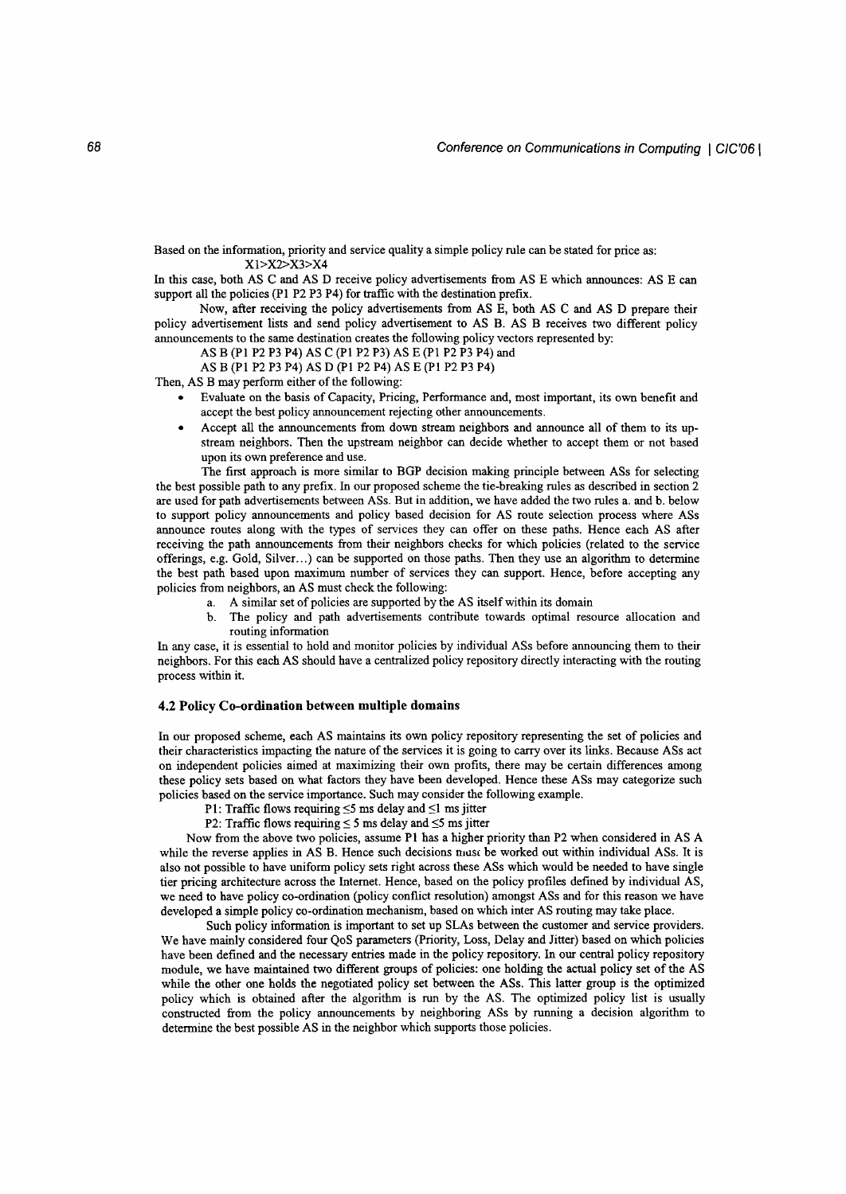Based on the information, priority and service quality a simple policy rule can be stated for price as: XI>X2>X3>X4

In this case, both AS C and AS D receive policy advertisements from AS E which announces: AS E can support all the policies (PI P2 P3 P4) for traffic with the destination prefix.

Now, after receiving the policy advertisements from AS E, both AS C and AS D prepare their policy advertisement lists and send policy advertisement to AS B. AS B receives two different policy announcements to the same destination creates the following policy vectors represented by:

AS B (PI P2 P3 P4) AS C (PI P2 P3) AS E (PI P2 P3 P4) and

AS B (PI P2 P3 P4) AS D (pI P2 P4) AS E (PI P2 P3 P4)

Then, AS B may perform either of the following:

- Evaluate on the basis of Capacity, Pricing, Performance and, most important, its own benefit and accept the best policy announcement rejecting other announcements.
- Accept all the announcements from down stream neighbors and announce all of them to its upstream neighbors. Then the upstream neighbor can decide whether to accept them or not based upon its own preference and use.

The first approach is more similar to BGP decision making principle between ASs for selecting the best possible path to any prefix. In our proposed scheme the tie-breaking rules as described in section 2 are used for path advertisements between ASs. But in addition, we have added the two rules a. and b. below to support policy announcements and policy based decision for AS route selection process where ASs announce routes along with the types of services they can offer on these paths. Hence each AS after receiving the path announcements from their neighbors checks for which policies (related to the service offerings, e.g. Gold, Silver. ..) can be supported on those paths. Then they use an algorithm to determine the best path based upon maximum number of services they can support. Hence, before accepting any policies from neighbors, an AS must check the following:

- a. A similar set of policies are supported by the AS itself within its domain
- b. The policy and path advertisements contribute towards optimal resource allocation and routing information

In any case, it is essential to hold and monitor policies by individual ASs before announcing them to their neighbors. For this each AS should have a centralized policy repository directly interacting with the routing process within it.

#### **4.2 Policy Co-ordination between multiple domains**

In our proposed scheme, each AS maintains its own policy repository representing the set of policies and their characteristics impacting the nature of the services it is going to carry over its links. Because ASs act on independent policies aimed at maximizing their own profits, there may be certain differences among these policy sets based on what factors they have been developed. Hence these ASs may categorize such policies based on the service importance. Such may consider the following example.

- P1: Traffic flows requiring  $\leq$ 5 ms delay and  $\leq$ 1 ms jitter
- P2: Traffic flows requiring  $\leq$  5 ms delay and  $\leq$ 5 ms jitter

Now from the above two policies, assume PI has a higher priority than P2 when considered in AS A while the reverse applies in AS B. Hence such decisions must be worked out within individual ASs. It is also not possible to have uniform policy sets right across these ASs which would be needed to have single tier pricing architecture across the Internet. Hence, based on the policy profiles defined by individual AS, we need to have policy co-ordination (policy conflict resolution) amongst ASs and for this reason we have developed a simple policy co-ordination mechanism, based on which inter AS routing may take place.

Such policy information is important to set up SLAs between the customer and service providers. We have mainly considered four QoS parameters (Priority, Loss, Delay and Jitter) based on which policies have been defined and the necessary entries made in the policy repository. In our central policy repository module, we have maintained two different groups of policies: one holding the actual policy set of the AS while the other one holds the negotiated policy set between the ASs. This latter group is the optimized policy which is obtained after the algorithm is run by the AS. The optimized policy list is usually constructed from the policy announcements by neighboring ASs by running a decision algorithm to determine the best possible AS in the neighbor which supports those policies.